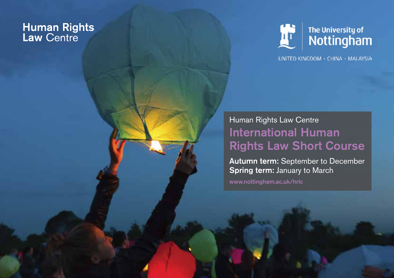# **Human Rights<br>Law Centre**



UNITED KINGDOM · CHINA · MALAYSIA

### Human Rights Law Centre International Human Rights Law Short Course

Autumn term: September to December Spring term: January to March

www.nottingham.ac.uk/hrlc